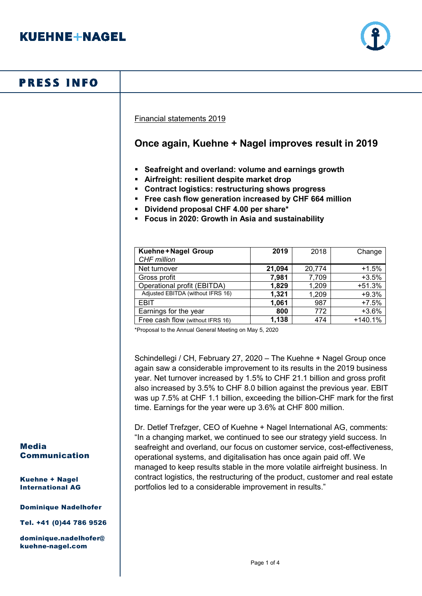

# **PRESS INFO**

Financial statements 2019

## **Once again, Kuehne + Nagel improves result in 2019**

- **Seafreight and overland: volume and earnings growth**
- **Airfreight: resilient despite market drop**
- **Contract logistics: restructuring shows progress**
- **Free cash flow generation increased by CHF 664 million**
- **Dividend proposal CHF 4.00 per share\***
- **Focus in 2020: Growth in Asia and sustainability**

| Kuehne+Nagel Group<br>CHF million | 2019   | 2018   | Change    |
|-----------------------------------|--------|--------|-----------|
| Net turnover                      | 21,094 | 20,774 | $+1.5%$   |
| Gross profit                      | 7,981  | 7,709  | $+3.5%$   |
| Operational profit (EBITDA)       | 1,829  | 1,209  | $+51.3%$  |
| Adjusted EBITDA (without IFRS 16) | 1,321  | 1,209  | $+9.3%$   |
| EBIT                              | 1,061  | 987    | $+7.5%$   |
| Earnings for the year             | 800    | 772    | $+3.6%$   |
| Free cash flow (without IFRS 16)  | 1,138  | 474    | $+140.1%$ |

\*Proposal to the Annual General Meeting on May 5, 2020

Schindellegi / CH, February 27, 2020 – The Kuehne + Nagel Group once again saw a considerable improvement to its results in the 2019 business year. Net turnover increased by 1.5% to CHF 21.1 billion and gross profit also increased by 3.5% to CHF 8.0 billion against the previous year. EBIT was up 7.5% at CHF 1.1 billion, exceeding the billion-CHF mark for the first time. Earnings for the year were up 3.6% at CHF 800 million.

Dr. Detlef Trefzger, CEO of Kuehne + Nagel International AG, comments: "In a changing market, we continued to see our strategy yield success. In seafreight and overland, our focus on customer service, cost-effectiveness, operational systems, and digitalisation has once again paid off. We managed to keep results stable in the more volatile airfreight business. In contract logistics, the restructuring of the product, customer and real estate portfolios led to a considerable improvement in results."

#### Media Communication

Kuehne + Nagel International AG

#### Dominique Nadelhofer

Tel. +41 (0)44 786 9526

dominique.nadelhofer@ kuehne-nagel.com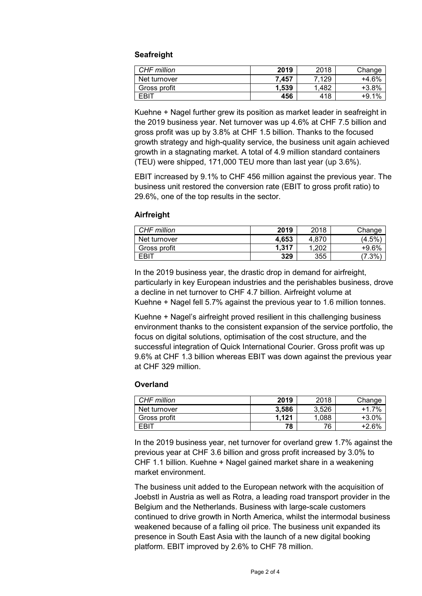#### **Seafreight**

| CHF million  | 2019  | 2018  | Change  |
|--------------|-------|-------|---------|
| Net turnover | 7.457 | 7.129 | +4.6%   |
| Gross profit | 1.539 | 1.482 | +3.8%   |
| <b>EBIT</b>  | 456   | 418   | $+9.1%$ |

Kuehne + Nagel further grew its position as market leader in seafreight in the 2019 business year. Net turnover was up 4.6% at CHF 7.5 billion and gross profit was up by 3.8% at CHF 1.5 billion. Thanks to the focused growth strategy and high-quality service, the business unit again achieved growth in a stagnating market. A total of 4.9 million standard containers (TEU) were shipped, 171,000 TEU more than last year (up 3.6%).

EBIT increased by 9.1% to CHF 456 million against the previous year. The business unit restored the conversion rate (EBIT to gross profit ratio) to 29.6%, one of the top results in the sector.

#### **Airfreight**

| CHF million      | 2019  | 2018  | Change          |
|------------------|-------|-------|-----------------|
| Net turnover     | 4.653 | 4.870 | 4.5%            |
| Gross profit     | 1.317 | 202   | +9.6%           |
| FBI <sup>-</sup> | 329   | 355   | $^{\prime}.3\%$ |

In the 2019 business year, the drastic drop in demand for airfreight, particularly in key European industries and the perishables business, drove a decline in net turnover to CHF 4.7 billion. Airfreight volume at Kuehne + Nagel fell 5.7% against the previous year to 1.6 million tonnes.

Kuehne + Nagel's airfreight proved resilient in this challenging business environment thanks to the consistent expansion of the service portfolio, the focus on digital solutions, optimisation of the cost structure, and the successful integration of Quick International Courier. Gross profit was up 9.6% at CHF 1.3 billion whereas EBIT was down against the previous year at CHF 329 million.

#### **Overland**

| CHF million  | 2019  | 2018  | Change  |
|--------------|-------|-------|---------|
| Net turnover | 3.586 | 3.526 | +1.7%   |
| Gross profit | 1.121 | .088  | $+3.0%$ |
| EBIT         | 78    | 76    | $+26%$  |

In the 2019 business year, net turnover for overland grew 1.7% against the previous year at CHF 3.6 billion and gross profit increased by 3.0% to CHF 1.1 billion. Kuehne + Nagel gained market share in a weakening market environment.

The business unit added to the European network with the acquisition of Joebstl in Austria as well as Rotra, a leading road transport provider in the Belgium and the Netherlands. Business with large-scale customers continued to drive growth in North America, whilst the intermodal business weakened because of a falling oil price. The business unit expanded its presence in South East Asia with the launch of a new digital booking platform. EBIT improved by 2.6% to CHF 78 million.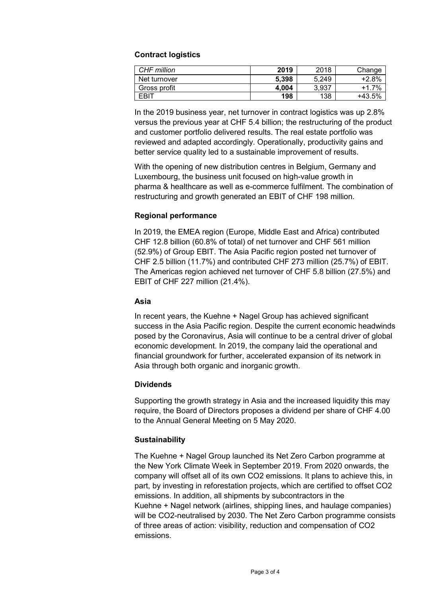### **Contract logistics**

| CHF million  | 2019  | 2018  | Change   |
|--------------|-------|-------|----------|
| Net turnover | 5.398 | 5.249 | +2.8%    |
| Gross profit | 4.004 | 3.937 | $+17%$   |
| FRIT         | 198   | 138   | $+43.5%$ |

In the 2019 business year, net turnover in contract logistics was up 2.8% versus the previous year at CHF 5.4 billion; the restructuring of the product and customer portfolio delivered results. The real estate portfolio was reviewed and adapted accordingly. Operationally, productivity gains and better service quality led to a sustainable improvement of results.

With the opening of new distribution centres in Belgium, Germany and Luxembourg, the business unit focused on high-value growth in pharma & healthcare as well as e-commerce fulfilment. The combination of restructuring and growth generated an EBIT of CHF 198 million.

### **Regional performance**

In 2019, the EMEA region (Europe, Middle East and Africa) contributed CHF 12.8 billion (60.8% of total) of net turnover and CHF 561 million (52.9%) of Group EBIT. The Asia Pacific region posted net turnover of CHF 2.5 billion (11.7%) and contributed CHF 273 million (25.7%) of EBIT. The Americas region achieved net turnover of CHF 5.8 billion (27.5%) and EBIT of CHF 227 million (21.4%).

#### **Asia**

In recent years, the Kuehne + Nagel Group has achieved significant success in the Asia Pacific region. Despite the current economic headwinds posed by the Coronavirus, Asia will continue to be a central driver of global economic development. In 2019, the company laid the operational and financial groundwork for further, accelerated expansion of its network in Asia through both organic and inorganic growth.

## **Dividends**

Supporting the growth strategy in Asia and the increased liquidity this may require, the Board of Directors proposes a dividend per share of CHF 4.00 to the Annual General Meeting on 5 May 2020.

## **Sustainability**

The Kuehne + Nagel Group launched its Net Zero Carbon programme at the New York Climate Week in September 2019. From 2020 onwards, the company will offset all of its own CO2 emissions. It plans to achieve this, in part, by investing in reforestation projects, which are certified to offset CO2 emissions. In addition, all shipments by subcontractors in the Kuehne + Nagel network (airlines, shipping lines, and haulage companies) will be CO2-neutralised by 2030. The Net Zero Carbon programme consists of three areas of action: visibility, reduction and compensation of CO2 emissions.